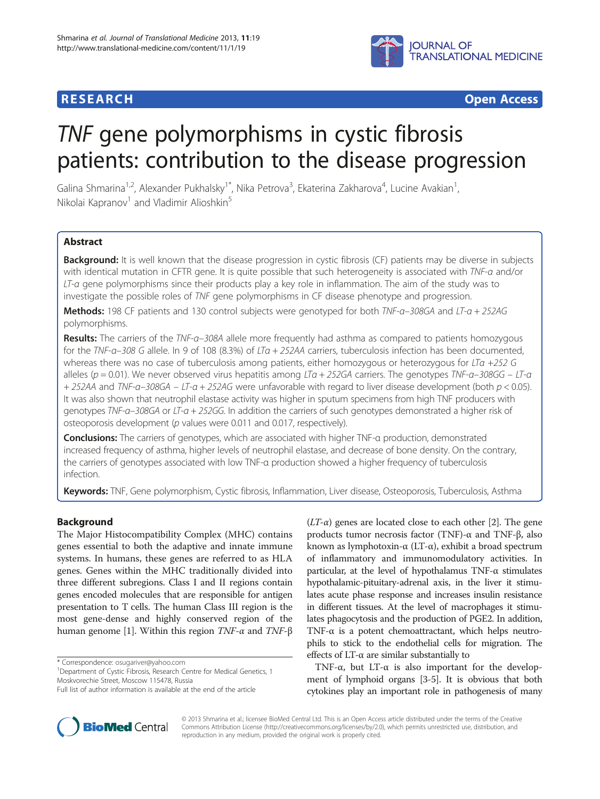

**RESEARCH CHEAR CHEAR CHEAR CHEAR CHEAR CHEAR CHEAR CHEAR CHEAR CHEAR CHEAR CHEAR CHEAR CHEAR CHEAR CHEAR CHEAR** 

# TNF gene polymorphisms in cystic fibrosis patients: contribution to the disease progression

Galina Shmarina<sup>1,2</sup>, Alexander Pukhalsky<sup>1\*</sup>, Nika Petrova<sup>3</sup>, Ekaterina Zakharova<sup>4</sup>, Lucine Avakian<sup>1</sup> , Nikolai Kapranov<sup>1</sup> and Vladimir Alioshkin<sup>5</sup>

# **Abstract**

Background: It is well known that the disease progression in cystic fibrosis (CF) patients may be diverse in subjects with identical mutation in CFTR gene. It is quite possible that such heterogeneity is associated with TNF-a and/or LT-a gene polymorphisms since their products play a key role in inflammation. The aim of the study was to investigate the possible roles of TNF gene polymorphisms in CF disease phenotype and progression.

Methods: 198 CF patients and 130 control subjects were genotyped for both TNF-a-308GA and LT-a + 252AG polymorphisms.

Results: The carriers of the TNF-a-308A allele more frequently had asthma as compared to patients homozygous for the TNF-α–308 G allele. In 9 of 108 (8.3%) of LTα + 252AA carriers, tuberculosis infection has been documented, whereas there was no case of tuberculosis among patients, either homozygous or heterozygous for LTa +252 G alleles ( $p = 0.01$ ). We never observed virus hepatitis among LTa + 252GA carriers. The genotypes TNF-a–308GG – LT-a + 252AA and TNF-a-308GA – LT-a + 252AG were unfavorable with regard to liver disease development (both  $p < 0.05$ ). It was also shown that neutrophil elastase activity was higher in sputum specimens from high TNF producers with genotypes TNF-α–308GA or LT-α + 252GG. In addition the carriers of such genotypes demonstrated a higher risk of osteoporosis development (p values were 0.011 and 0.017, respectively).

Conclusions: The carriers of genotypes, which are associated with higher TNF-a production, demonstrated increased frequency of asthma, higher levels of neutrophil elastase, and decrease of bone density. On the contrary, the carriers of genotypes associated with low TNF-α production showed a higher frequency of tuberculosis infection.

Keywords: TNF, Gene polymorphism, Cystic fibrosis, Inflammation, Liver disease, Osteoporosis, Tuberculosis, Asthma

# Background

The Major Histocompatibility Complex (MHC) contains genes essential to both the adaptive and innate immune systems. In humans, these genes are referred to as HLA genes. Genes within the MHC traditionally divided into three different subregions. Class I and II regions contain genes encoded molecules that are responsible for antigen presentation to T cells. The human Class III region is the most gene-dense and highly conserved region of the human genome [[1](#page-6-0)]. Within this region  $TNF-α$  and  $TNF-β$ 

\* Correspondence: [osugariver@yahoo.com](mailto:osugariver@yahoo.com) <sup>1</sup>

<sup>1</sup>Department of Cystic Fibrosis, Research Centre for Medical Genetics, 1 Moskvorechie Street, Moscow 115478, Russia

 $(LT-\alpha)$  genes are located close to each other [[2\]](#page-6-0). The gene products tumor necrosis factor (TNF)-α and TNF-β, also known as lymphotoxin-α (LT-α), exhibit a broad spectrum of inflammatory and immunomodulatory activities. In particular, at the level of hypothalamus TNF-α stimulates hypothalamic-pituitary-adrenal axis, in the liver it stimulates acute phase response and increases insulin resistance in different tissues. At the level of macrophages it stimulates phagocytosis and the production of PGE2. In addition, TNF-α is a potent chemoattractant, which helps neutrophils to stick to the endothelial cells for migration. The effects of  $LT$ - $\alpha$  are similar substantially to

TNF- $\alpha$ , but LT- $\alpha$  is also important for the development of lymphoid organs [\[3-5\]](#page-6-0). It is obvious that both cytokines play an important role in pathogenesis of many



© 2013 Shmarina et al.; licensee BioMed Central Ltd. This is an Open Access article distributed under the terms of the Creative Commons Attribution License [\(http://creativecommons.org/licenses/by/2.0\)](http://creativecommons.org/licenses/by/2.0), which permits unrestricted use, distribution, and reproduction in any medium, provided the original work is properly cited.

Full list of author information is available at the end of the article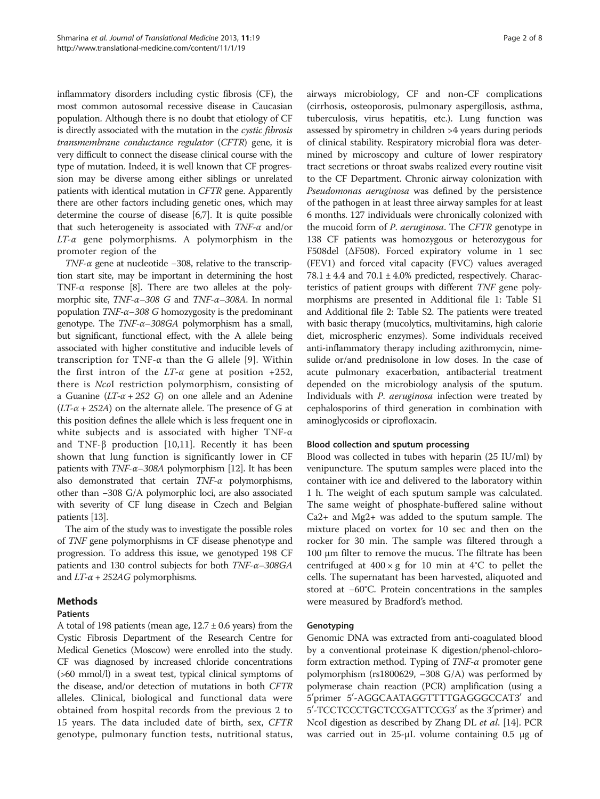inflammatory disorders including cystic fibrosis (CF), the most common autosomal recessive disease in Caucasian population. Although there is no doubt that etiology of CF is directly associated with the mutation in the cystic fibrosis transmembrane conductance regulator (CFTR) gene, it is very difficult to connect the disease clinical course with the type of mutation. Indeed, it is well known that CF progression may be diverse among either siblings or unrelated patients with identical mutation in CFTR gene. Apparently there are other factors including genetic ones, which may determine the course of disease [\[6,7](#page-6-0)]. It is quite possible that such heterogeneity is associated with  $TNF-\alpha$  and/or  $LT$ - $\alpha$  gene polymorphisms. A polymorphism in the promoter region of the

TNF- $\alpha$  gene at nucleotide −308, relative to the transcription start site, may be important in determining the host TNF- $\alpha$  response [[8](#page-6-0)]. There are two alleles at the polymorphic site, TNF-α–308 G and TNF-α–308A. In normal population  $TNF-\alpha-308$  G homozygosity is the predominant genotype. The TNF-α–308GA polymorphism has a small, but significant, functional effect, with the A allele being associated with higher constitutive and inducible levels of transcription for TNF-α than the G allele [[9](#page-6-0)]. Within the first intron of the  $LT-\alpha$  gene at position +252, there is NcoI restriction polymorphism, consisting of a Guanine  $(LT-\alpha + 252)$  on one allele and an Adenine  $(LT-\alpha + 252A)$  on the alternate allele. The presence of G at this position defines the allele which is less frequent one in white subjects and is associated with higher TNF-α and TNF-β production [[10,11](#page-6-0)]. Recently it has been shown that lung function is significantly lower in CF patients with  $TNF-\alpha-308A$  polymorphism [\[12\]](#page-6-0). It has been also demonstrated that certain TNF-α polymorphisms, other than −308 G/A polymorphic loci, are also associated with severity of CF lung disease in Czech and Belgian patients [\[13](#page-6-0)].

The aim of the study was to investigate the possible roles of TNF gene polymorphisms in CF disease phenotype and progression. To address this issue, we genotyped 198 CF patients and 130 control subjects for both TNF-α–308GA and  $LT-\alpha + 252AG$  polymorphisms.

# Methods

# Patients

A total of 198 patients (mean age,  $12.7 \pm 0.6$  years) from the Cystic Fibrosis Department of the Research Centre for Medical Genetics (Moscow) were enrolled into the study. CF was diagnosed by increased chloride concentrations (>60 mmol/l) in a sweat test, typical clinical symptoms of the disease, and/or detection of mutations in both CFTR alleles. Clinical, biological and functional data were obtained from hospital records from the previous 2 to 15 years. The data included date of birth, sex, CFTR genotype, pulmonary function tests, nutritional status,

airways microbiology, CF and non-CF complications (cirrhosis, osteoporosis, pulmonary aspergillosis, asthma, tuberculosis, virus hepatitis, etc.). Lung function was assessed by spirometry in children >4 years during periods of clinical stability. Respiratory microbial flora was determined by microscopy and culture of lower respiratory tract secretions or throat swabs realized every routine visit to the CF Department. Chronic airway colonization with Pseudomonas aeruginosa was defined by the persistence of the pathogen in at least three airway samples for at least 6 months. 127 individuals were chronically colonized with the mucoid form of P. aeruginosa. The CFTR genotype in 138 CF patients was homozygous or heterozygous for F508del (ΔF508). Forced expiratory volume in 1 sec (FEV1) and forced vital capacity (FVC) values averaged  $78.1 \pm 4.4$  and  $70.1 \pm 4.0\%$  predicted, respectively. Characteristics of patient groups with different TNF gene polymorphisms are presented in Additional file [1:](#page-6-0) Table S1 and Additional file [2:](#page-6-0) Table S2. The patients were treated with basic therapy (mucolytics, multivitamins, high calorie diet, microspheric enzymes). Some individuals received anti-inflammatory therapy including azithromycin, nimesulide or/and prednisolone in low doses. In the case of acute pulmonary exacerbation, antibacterial treatment depended on the microbiology analysis of the sputum. Individuals with P. aeruginosa infection were treated by cephalosporins of third generation in combination with aminoglycosids or ciprofloxacin.

### Blood collection and sputum processing

Blood was collected in tubes with heparin (25 IU/ml) by venipuncture. The sputum samples were placed into the container with ice and delivered to the laboratory within 1 h. The weight of each sputum sample was calculated. The same weight of phosphate-buffered saline without Ca2+ and Mg2+ was added to the sputum sample. The mixture placed on vortex for 10 sec and then on the rocker for 30 min. The sample was filtered through a 100 μm filter to remove the mucus. The filtrate has been centrifuged at  $400 \times g$  for 10 min at 4°C to pellet the cells. The supernatant has been harvested, aliquoted and stored at −60°C. Protein concentrations in the samples were measured by Bradford's method.

# Genotyping

Genomic DNA was extracted from anti-coagulated blood by a conventional proteinase K digestion/phenol-chloroform extraction method. Typing of TNF-α promoter gene polymorphism (rs1800629, –308 G/A) was performed by polymerase chain reaction (PCR) amplification (using a 5'primer 5'-AGGCAATAGGTTTTGAGGGCCAT3' and 5'-TCCTCCCTGCTCCGATTCCG3' as the 3'primer) and NcoI digestion as described by Zhang DL et al. [[14](#page-6-0)]. PCR was carried out in 25-μL volume containing 0.5 μg of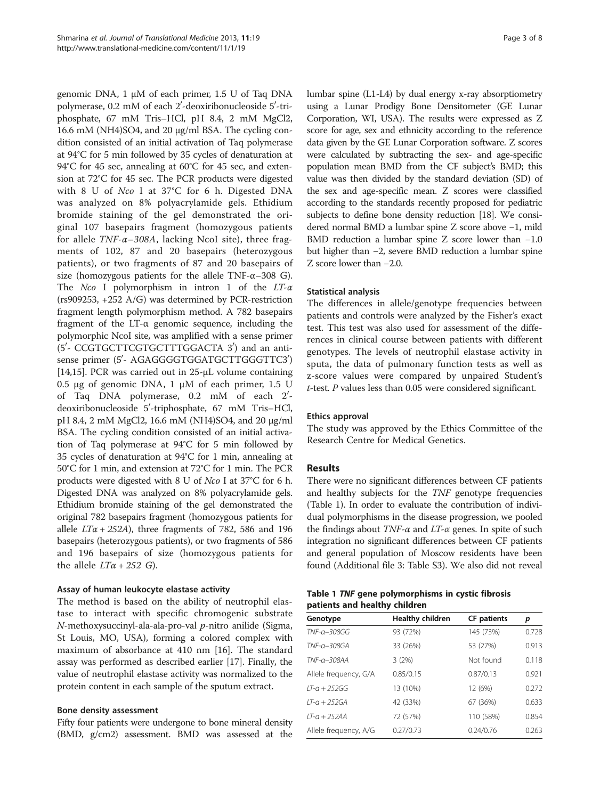genomic DNA, 1 μM of each primer, 1.5 U of Taq DNA polymerase, 0.2 mM of each 2′-deoxiribonucleoside 5′-triphosphate, 67 mM Tris–HCl, pH 8.4, 2 mM MgCl2, 16.6 mM (NH4)SO4, and 20 μg/ml BSA. The cycling condition consisted of an initial activation of Taq polymerase at 94°C for 5 min followed by 35 cycles of denaturation at 94°C for 45 sec, annealing at 60°C for 45 sec, and extension at 72°C for 45 sec. The PCR products were digested with 8 U of Nco I at 37°C for 6 h. Digested DNA was analyzed on 8% polyacrylamide gels. Ethidium bromide staining of the gel demonstrated the original 107 basepairs fragment (homozygous patients for allele  $TNF$ - $\alpha$ -308A, lacking NcoI site), three fragments of 102, 87 and 20 basepairs (heterozygous patients), or two fragments of 87 and 20 basepairs of size (homozygous patients for the allele TNF- $\alpha$ –308 G). The Nco I polymorphism in intron 1 of the  $LT-\alpha$ (rs909253, +252 A/G) was determined by PCR-restriction fragment length polymorphism method. A 782 basepairs fragment of the LT-α genomic sequence, including the polymorphic NcoI site, was amplified with a sense primer (5'- CCGTGCTTCGTGCTTTGGACTA 3') and an antisense primer (5'- AGAGGGGTGGATGCTTGGGTTC3') [[14,15](#page-6-0)]. PCR was carried out in 25-μL volume containing 0.5 μg of genomic DNA, 1 μM of each primer, 1.5 U of Taq DNA polymerase, 0.2 mM of each 2'deoxiribonucleoside 5'-triphosphate, 67 mM Tris–HCl, pH 8.4, 2 mM MgCl2, 16.6 mM (NH4)SO4, and 20 μg/ml BSA. The cycling condition consisted of an initial activation of Taq polymerase at 94°C for 5 min followed by 35 cycles of denaturation at 94°C for 1 min, annealing at 50°C for 1 min, and extension at 72°C for 1 min. The PCR products were digested with 8 U of Nco I at 37°C for 6 h. Digested DNA was analyzed on 8% polyacrylamide gels. Ethidium bromide staining of the gel demonstrated the original 782 basepairs fragment (homozygous patients for allele  $LT\alpha + 252A$ , three fragments of 782, 586 and 196 basepairs (heterozygous patients), or two fragments of 586 and 196 basepairs of size (homozygous patients for the allele  $LT\alpha + 252$  G).

# Assay of human leukocyte elastase activity

The method is based on the ability of neutrophil elastase to interact with specific chromogenic substrate  $N$ -methoxysuccinyl-ala-ala-pro-val  $p$ -nitro anilide (Sigma, St Louis, MO, USA), forming a colored complex with maximum of absorbance at 410 nm [\[16\]](#page-6-0). The standard assay was performed as described earlier [\[17\]](#page-6-0). Finally, the value of neutrophil elastase activity was normalized to the protein content in each sample of the sputum extract.

### Bone density assessment

Fifty four patients were undergone to bone mineral density (BMD, g/cm2) assessment. BMD was assessed at the lumbar spine (L1-L4) by dual energy x-ray absorptiometry using a Lunar Prodigy Bone Densitometer (GE Lunar Corporation, WI, USA). The results were expressed as Z score for age, sex and ethnicity according to the reference data given by the GE Lunar Corporation software. Z scores were calculated by subtracting the sex- and age-specific population mean BMD from the CF subject's BMD; this value was then divided by the standard deviation (SD) of the sex and age-specific mean. Z scores were classified according to the standards recently proposed for pediatric subjects to define bone density reduction [\[18\]](#page-6-0). We considered normal BMD a lumbar spine Z score above −1, mild BMD reduction a lumbar spine Z score lower than −1.0 but higher than −2, severe BMD reduction a lumbar spine Z score lower than −2.0.

# Statistical analysis

The differences in allele/genotype frequencies between patients and controls were analyzed by the Fisher's exact test. This test was also used for assessment of the differences in clinical course between patients with different genotypes. The levels of neutrophil elastase activity in sputa, the data of pulmonary function tests as well as z-score values were compared by unpaired Student's t-test. P values less than 0.05 were considered significant.

# Ethics approval

The study was approved by the Ethics Committee of the Research Centre for Medical Genetics.

# Results

There were no significant differences between CF patients and healthy subjects for the TNF genotype frequencies (Table 1). In order to evaluate the contribution of individual polymorphisms in the disease progression, we pooled the findings about  $TNF-\alpha$  and  $LT-\alpha$  genes. In spite of such integration no significant differences between CF patients and general population of Moscow residents have been found (Additional file [3](#page-6-0): Table S3). We also did not reveal

# Table 1 TNF gene polymorphisms in cystic fibrosis patients and healthy children

| Genotype                | <b>Healthy children</b> | <b>CF</b> patients | р     |
|-------------------------|-------------------------|--------------------|-------|
| TNF-a-308GG             | 93 (72%)                | 145 (73%)          | 0.728 |
| $TNF$ - $\alpha$ -308GA | 33 (26%)                | 53 (27%)           | 0.913 |
| $TNF-a-308AA$           | 3(2%)                   | Not found          | 0.118 |
| Allele frequency, G/A   | 0.85/0.15               | 0.87/0.13          | 0.921 |
| $1T - a + 252G$         | 13 (10%)                | 12 (6%)            | 0.272 |
| $1T-a + 252GA$          | 42 (33%)                | 67 (36%)           | 0.633 |
| $IT$ - $a + 252AA$      | 72 (57%)                | 110 (58%)          | 0.854 |
| Allele frequency, A/G   | 0.27/0.73               | 0.24/0.76          | 0.263 |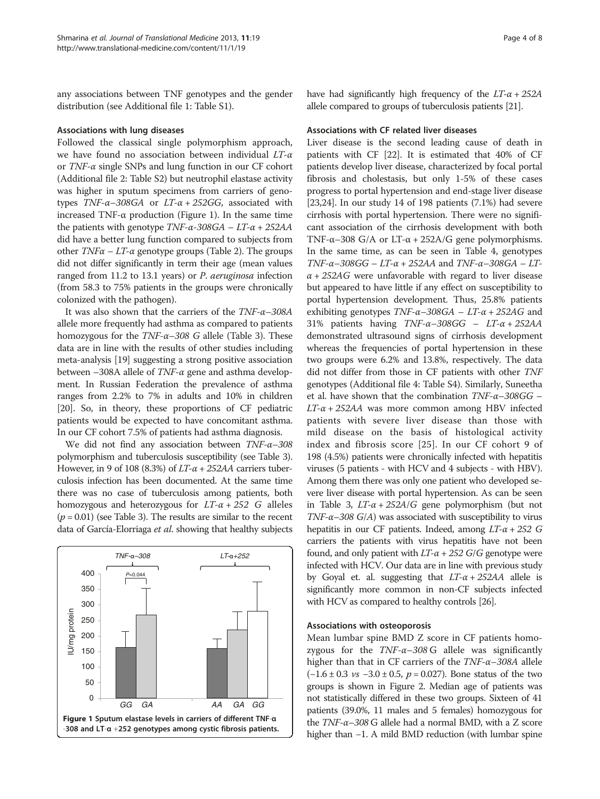any associations between TNF genotypes and the gender distribution (see Additional file [1](#page-6-0): Table S1).

# Associations with lung diseases

Followed the classical single polymorphism approach, we have found no association between individual LT-α or TNF-α single SNPs and lung function in our CF cohort (Additional file [2](#page-6-0): Table S2) but neutrophil elastase activity was higher in sputum specimens from carriers of genotypes  $TNF$ - $\alpha$ -308GA or  $LT$ - $\alpha$  + 252GG, associated with increased TNF-α production (Figure 1). In the same time the patients with genotype  $TNF-α-308GA - LT-α + 252AA$ did have a better lung function compared to subjects from other  $TNF\alpha - LT\alpha$  genotype groups (Table [2](#page-4-0)). The groups did not differ significantly in term their age (mean values ranged from 11.2 to 13.1 years) or P. aeruginosa infection (from 58.3 to 75% patients in the groups were chronically colonized with the pathogen).

It was also shown that the carriers of the  $TNF-\alpha-308A$ allele more frequently had asthma as compared to patients homozygous for the  $TNF$ - $\alpha$ -308 G allele (Table [3](#page-4-0)). These data are in line with the results of other studies including meta-analysis [[19](#page-6-0)] suggesting a strong positive association between  $-308A$  allele of TNF- $\alpha$  gene and asthma development. In Russian Federation the prevalence of asthma ranges from 2.2% to 7% in adults and 10% in children [[20](#page-6-0)]. So, in theory, these proportions of CF pediatric patients would be expected to have concomitant asthma. In our CF cohort 7.5% of patients had asthma diagnosis.

We did not find any association between TNF-α–308 polymorphism and tuberculosis susceptibility (see Table [3](#page-4-0)). However, in 9 of 108 (8.3%) of  $LT-\alpha + 252AA$  carriers tuberculosis infection has been documented. At the same time there was no case of tuberculosis among patients, both homozygous and heterozygous for  $LT-\alpha + 252$  G alleles  $(p = 0.01)$  (see Table [3\)](#page-4-0). The results are similar to the recent data of García-Elorriaga et al. showing that healthy subjects



have had significantly high frequency of the  $LT-\alpha + 252A$ allele compared to groups of tuberculosis patients [\[21](#page-6-0)].

#### Associations with CF related liver diseases

Liver disease is the second leading cause of death in patients with CF [\[22\]](#page-6-0). It is estimated that 40% of CF patients develop liver disease, characterized by focal portal fibrosis and cholestasis, but only 1-5% of these cases progress to portal hypertension and end-stage liver disease [[23](#page-6-0),[24](#page-6-0)]. In our study 14 of 198 patients (7.1%) had severe cirrhosis with portal hypertension. There were no significant association of the cirrhosis development with both TNF- $\alpha$ –308 G/A or LT- $\alpha$  + 252A/G gene polymorphisms. In the same time, as can be seen in Table [4](#page-5-0), genotypes TNF- $\alpha$ –308GG – LT- $\alpha$  + 252AA and TNF- $\alpha$ –308GA – LT- $\alpha$  + 252AG were unfavorable with regard to liver disease but appeared to have little if any effect on susceptibility to portal hypertension development. Thus, 25.8% patients exhibiting genotypes  $TNF-\alpha-308GA - LT-\alpha + 252AG$  and 31% patients having TNF-α–308GG – LT-α + 252AA demonstrated ultrasound signs of cirrhosis development whereas the frequencies of portal hypertension in these two groups were 6.2% and 13.8%, respectively. The data did not differ from those in CF patients with other TNF genotypes (Additional file [4](#page-6-0): Table S4). Similarly, Suneetha et al. have shown that the combination  $TNF-\alpha-308GG$  –  $LT-\alpha + 252AA$  was more common among HBV infected patients with severe liver disease than those with mild disease on the basis of histological activity index and fibrosis score [[25\]](#page-6-0). In our CF cohort 9 of 198 (4.5%) patients were chronically infected with hepatitis viruses (5 patients - with HCV and 4 subjects - with HBV). Among them there was only one patient who developed severe liver disease with portal hypertension. As can be seen in Table [3](#page-4-0),  $LT-\alpha + 252A/G$  gene polymorphism (but not TNF- $\alpha$ –308 G/A) was associated with susceptibility to virus hepatitis in our CF patients. Indeed, among  $LT-\alpha + 252$  G carriers the patients with virus hepatitis have not been found, and only patient with  $LT-\alpha + 252$  G/G genotype were infected with HCV. Our data are in line with previous study by Goyal et. al. suggesting that  $LT-\alpha + 252AA$  allele is significantly more common in non-CF subjects infected with HCV as compared to healthy controls [\[26\]](#page-6-0).

#### Associations with osteoporosis

Mean lumbar spine BMD Z score in CF patients homozygous for the  $TNF-\alpha-308$  G allele was significantly higher than that in CF carriers of the TNF-α–308A allele  $(-1.6 \pm 0.3 \text{ vs } -3.0 \pm 0.5, p = 0.027)$ . Bone status of the two groups is shown in Figure [2](#page-5-0). Median age of patients was not statistically differed in these two groups. Sixteen of 41 patients (39.0%, 11 males and 5 females) homozygous for the TNF-α–308 G allele had a normal BMD, with a Z score higher than −1. A mild BMD reduction (with lumbar spine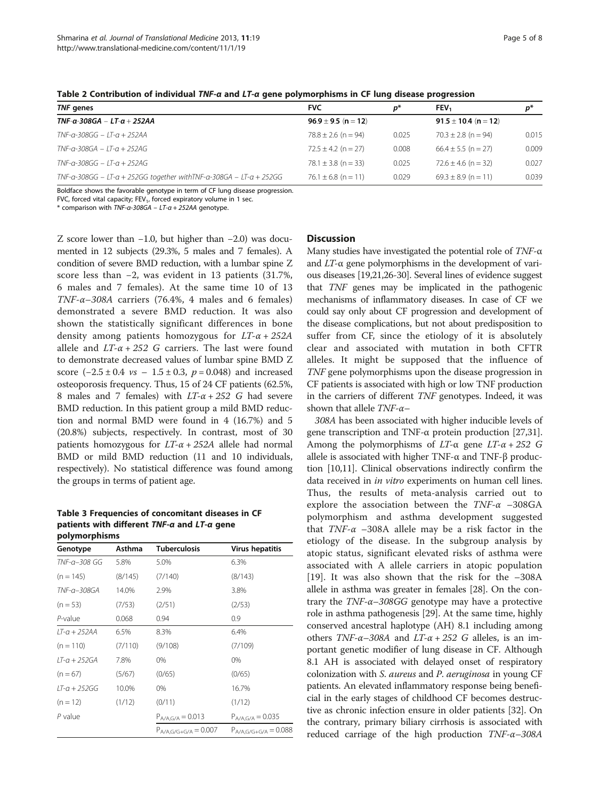| TNF genes                                                              | <b>FVC</b>              | p*    | <b>FEV.</b>              | $p^*$ |
|------------------------------------------------------------------------|-------------------------|-------|--------------------------|-------|
| TNF-α-308GA – LT-α + 252AA                                             | $96.9 \pm 9.5$ (n = 12) |       | $91.5 \pm 10.4$ (n = 12) |       |
| TNF-a-308GG – LT-a + 252AA                                             | $78.8 \pm 2.6$ (n = 94) | 0.025 | $70.3 \pm 2.8$ (n = 94)  | 0.015 |
| TNF-a-308GA – LT-a + 252AG                                             | $72.5 \pm 4.2$ (n = 27) | 0.008 | $66.4 \pm 5.5$ (n = 27)  | 0.009 |
| $TNF - a - 308GG - 1T - a + 252AG$                                     | $78.1 \pm 3.8$ (n = 33) | 0.025 | $72.6 \pm 4.6$ (n = 32)  | 0.027 |
| $TNF$ -a-308GG – LT-a + 252GG together with TNF-a-308GA – LT-a + 252GG | $76.1 \pm 6.8$ (n = 11) | 0.029 | $69.3 \pm 8.9$ (n = 11)  | 0.039 |

<span id="page-4-0"></span>Table 2 Contribution of individual TNF-α and LT-α gene polymorphisms in CF lung disease progression

Boldface shows the favorable genotype in term of CF lung disease progression.

FVC, forced vital capacity;  $FEV<sub>1</sub>$ , forced expiratory volume in 1 sec.

\* comparison with  $TNF-a-308GA - LT-a + 252AA$  genotype.

Z score lower than −1.0, but higher than −2.0) was documented in 12 subjects (29.3%, 5 males and 7 females). A condition of severe BMD reduction, with a lumbar spine Z score less than −2, was evident in 13 patients (31.7%, 6 males and 7 females). At the same time 10 of 13 TNF- $\alpha$ -308A carriers (76.4%, 4 males and 6 females) demonstrated a severe BMD reduction. It was also shown the statistically significant differences in bone density among patients homozygous for  $LT-\alpha + 252A$ allele and  $LT-\alpha + 252$  G carriers. The last were found to demonstrate decreased values of lumbar spine BMD Z score  $(-2.5 \pm 0.4 \text{ vs } -1.5 \pm 0.3, p = 0.048)$  and increased osteoporosis frequency. Thus, 15 of 24 CF patients (62.5%, 8 males and 7 females) with  $LT-\alpha + 252$  G had severe BMD reduction. In this patient group a mild BMD reduction and normal BMD were found in 4 (16.7%) and 5 (20.8%) subjects, respectively. In contrast, most of 30 patients homozygous for  $LT-\alpha + 252A$  allele had normal BMD or mild BMD reduction (11 and 10 individuals, respectively). No statistical difference was found among the groups in terms of patient age.

Table 3 Frequencies of concomitant diseases in CF patients with different TNF-α and LT-α gene polymorphisms

| Genotype       | Asthma  | <b>Tuberculosis</b>       | <b>Virus hepatitis</b>    |
|----------------|---------|---------------------------|---------------------------|
| TNF-a-308 GG   | 5.8%    | 5.0%                      | 6.3%                      |
| $(n = 145)$    | (8/145) | (7/140)                   | (8/143)                   |
| TNF-a-308GA    | 14.0%   | 2.9%                      | 3.8%                      |
| $(n = 53)$     | (7/53)  | (2/51)                    | (2/53)                    |
| $P$ -value     | 0.068   | 0.94                      | 0.9                       |
| $1T-a + 252AA$ | 6.5%    | 8.3%                      | 6.4%                      |
| $(n = 110)$    | (7/110) | (9/108)                   | (7/109)                   |
| LT-a + 252GA   | 7.8%    | 0%                        | 0%                        |
| $(n = 67)$     | (5/67)  | (0/65)                    | (0/65)                    |
| $1T-a + 252GG$ | 10.0%   | 0%                        | 16.7%                     |
| $(n = 12)$     | (1/12)  | (0/11)                    | (1/12)                    |
| P value        |         | $P_{A/A,G/A} = 0.013$     | $P_{A/A,G/A} = 0.035$     |
|                |         | $P_{A/A,G/G+G/A} = 0.007$ | $P_{A/A,G/G+G/A} = 0.088$ |

### **Discussion**

Many studies have investigated the potential role of  $TNF-\alpha$ and  $LT$ - $\alpha$  gene polymorphisms in the development of various diseases [\[19,21,26-](#page-6-0)[30\]](#page-7-0). Several lines of evidence suggest that TNF genes may be implicated in the pathogenic mechanisms of inflammatory diseases. In case of CF we could say only about CF progression and development of the disease complications, but not about predisposition to suffer from CF, since the etiology of it is absolutely clear and associated with mutation in both CFTR alleles. It might be supposed that the influence of TNF gene polymorphisms upon the disease progression in CF patients is associated with high or low TNF production in the carriers of different TNF genotypes. Indeed, it was shown that allele  $TNF-\alpha-$ 

308A has been associated with higher inducible levels of gene transcription and TNF-α protein production [\[27,](#page-6-0)[31](#page-7-0)]. Among the polymorphisms of  $LT$ -α gene  $LT$ -α + 252 G allele is associated with higher TNF-α and TNF-β production [\[10,11](#page-6-0)]. Clinical observations indirectly confirm the data received in in vitro experiments on human cell lines. Thus, the results of meta-analysis carried out to explore the association between the  $TNF-\alpha -308GA$ polymorphism and asthma development suggested that  $TNF-\alpha$  –308A allele may be a risk factor in the etiology of the disease. In the subgroup analysis by atopic status, significant elevated risks of asthma were associated with A allele carriers in atopic population [[19\]](#page-6-0). It was also shown that the risk for the –308A allele in asthma was greater in females [\[28](#page-6-0)]. On the contrary the  $TNF-\alpha-308GG$  genotype may have a protective role in asthma pathogenesis [\[29\]](#page-7-0). At the same time, highly conserved ancestral haplotype (AH) 8.1 including among others  $TNF$ - $\alpha$ -308A and  $LT$ - $\alpha$  + 252 G alleles, is an important genetic modifier of lung disease in CF. Although 8.1 AH is associated with delayed onset of respiratory colonization with S. aureus and P. aeruginosa in young CF patients. An elevated inflammatory response being beneficial in the early stages of childhood CF becomes destructive as chronic infection ensure in older patients [[32](#page-7-0)]. On the contrary, primary biliary cirrhosis is associated with reduced carriage of the high production TNF-α–308A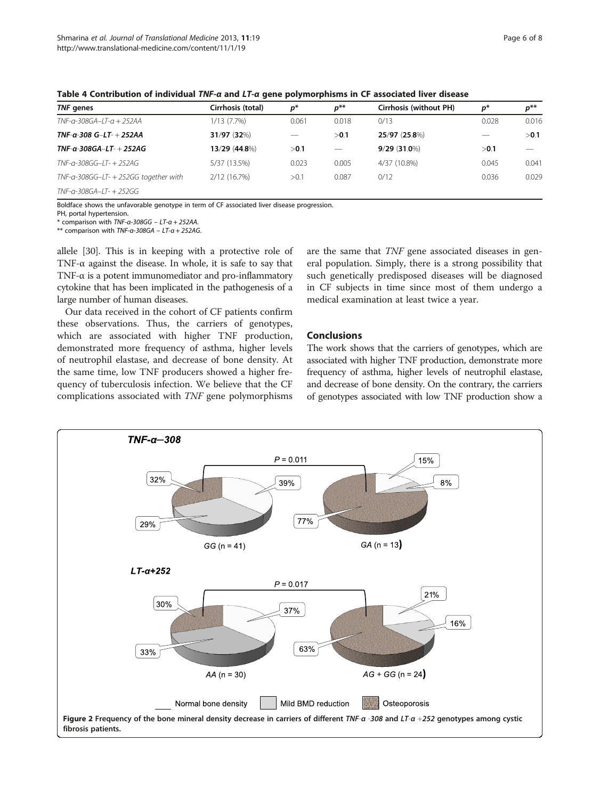| TNF genes                             | Cirrhosis (total) | $p^*$                    | $p^{**}$ | Cirrhosis (without PH) | p*    | $p^{**}$ |
|---------------------------------------|-------------------|--------------------------|----------|------------------------|-------|----------|
| TNF-a-308GA–LT-a + 252AA              | 1/13(7.7%)        | 0.061                    | 0.018    | 0/13                   | 0.028 | 0.016    |
| TNF-α-308 G–LT- + 252AA               | 31/97 (32%)       | $\overline{\phantom{0}}$ | >0.1     | 25/97 (25.8%)          |       | >0.1     |
| TNF-α-308GA–LT- + 252AG               | 13/29 (44.8%)     | >0.1                     |          | $9/29(31.0\%)$         | >0.1  |          |
| TNF-a-308GG–LT- + 252AG               | 5/37 (13.5%)      | 0.023                    | 0.005    | 4/37 (10.8%)           | 0.045 | 0.041    |
| TNF-a-308GG–LT- + 252GG together with | 2/12 (16.7%)      | >0.1                     | 0.087    | 0/12                   | 0.036 | 0.029    |
| TNF-a-308GA–LT- + 252GG               |                   |                          |          |                        |       |          |

<span id="page-5-0"></span>Table 4 Contribution of individual TNF-α and LT-α gene polymorphisms in CF associated liver disease

Boldface shows the unfavorable genotype in term of CF associated liver disease progression.

PH, portal hypertension.

 $*$  comparison with TNF-a-308GG - LT-a + 252AA.

\*\* comparison with  $TNF-a-308GA - LT-a + 252AG$ .

allele [[30\]](#page-7-0). This is in keeping with a protective role of TNF-α against the disease. In whole, it is safe to say that TNF-α is a potent immunomediator and pro-inflammatory cytokine that has been implicated in the pathogenesis of a large number of human diseases.

Our data received in the cohort of CF patients confirm these observations. Thus, the carriers of genotypes, which are associated with higher TNF production, demonstrated more frequency of asthma, higher levels of neutrophil elastase, and decrease of bone density. At the same time, low TNF producers showed a higher frequency of tuberculosis infection. We believe that the CF complications associated with TNF gene polymorphisms are the same that TNF gene associated diseases in general population. Simply, there is a strong possibility that such genetically predisposed diseases will be diagnosed in CF subjects in time since most of them undergo a medical examination at least twice a year.

# Conclusions

The work shows that the carriers of genotypes, which are associated with higher TNF production, demonstrate more frequency of asthma, higher levels of neutrophil elastase, and decrease of bone density. On the contrary, the carriers of genotypes associated with low TNF production show a

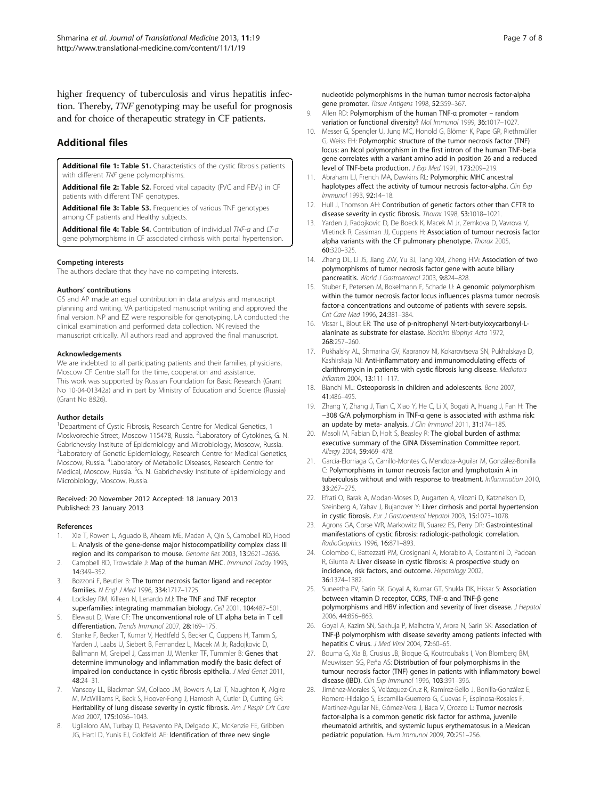<span id="page-6-0"></span>higher frequency of tuberculosis and virus hepatitis infection. Thereby, TNF genotyping may be useful for prognosis and for choice of therapeutic strategy in CF patients.

# Additional files

[Additional file 1:](http://www.biomedcentral.com/content/supplementary/1479-5876-11-19-S1.docx) Table S1. Characteristics of the cystic fibrosis patients with different TNF gene polymorphisms.

[Additional file 2:](http://www.biomedcentral.com/content/supplementary/1479-5876-11-19-S2.docx) Table S2. Forced vital capacity (FVC and FEV<sub>1</sub>) in CF patients with different TNF genotypes.

[Additional file 3:](http://www.biomedcentral.com/content/supplementary/1479-5876-11-19-S3.docx) Table S3. Frequencies of various TNF genotypes among CF patients and Healthy subjects.

[Additional file 4:](http://www.biomedcentral.com/content/supplementary/1479-5876-11-19-S4.docx) Table S4. Contribution of individual TNF-α and LT-α gene polymorphisms in CF associated cirrhosis with portal hypertension.

#### Competing interests

The authors declare that they have no competing interests.

#### Authors' contributions

GS and AP made an equal contribution in data analysis and manuscript planning and writing. VA participated manuscript writing and approved the final version. NP and EZ were responsible for genotyping. LA conducted the clinical examination and performed data collection. NK revised the manuscript critically. All authors read and approved the final manuscript.

#### Acknowledgements

We are indebted to all participating patients and their families, physicians, Moscow CF Centre staff for the time, cooperation and assistance. This work was supported by Russian Foundation for Basic Research (Grant No 10-04-01342a) and in part by Ministry of Education and Science (Russia) (Grant No 8826).

#### Author details

<sup>1</sup>Department of Cystic Fibrosis, Research Centre for Medical Genetics, 1 Moskvorechie Street, Moscow 115478, Russia. <sup>2</sup>Laboratory of Cytokines, G. N. Gabrichevsky Institute of Epidemiology and Microbiology, Moscow, Russia. <sup>3</sup>Laboratory of Genetic Epidemiology, Research Centre for Medical Genetics, Moscow, Russia. <sup>4</sup> Laboratory of Metabolic Diseases, Research Centre for Medical, Moscow, Russia. <sup>5</sup>G. N. Gabrichevsky Institute of Epidemiology and Microbiology, Moscow, Russia.

#### Received: 20 November 2012 Accepted: 18 January 2013 Published: 23 January 2013

#### References

- 1. Xie T, Rowen L, Aguado B, Ahearn ME, Madan A, Qin S, Campbell RD, Hood L: Analysis of the gene-dense major histocompatibility complex class III region and its comparison to mouse. Genome Res 2003, 13:2621–2636.
- 2. Campbell RD, Trowsdale J: Map of the human MHC. Immunol Today 1993, 14:349–352.
- 3. Bozzoni F, Beutler B: The tumor necrosis factor ligand and receptor families. N Engl J Med 1996, 334:1717–1725.
- 4. Locksley RM, Killeen N, Lenardo MJ: The TNF and TNF receptor superfamilies: integrating mammalian biology. Cell 2001, 104:487–501.
- Elewaut D, Ware CF: The unconventional role of LT alpha beta in T cell differentiation. Trends Immunol 2007, 28:169–175.
- 6. Stanke F, Becker T, Kumar V, Hedtfeld S, Becker C, Cuppens H, Tamm S, Yarden J, Laabs U, Siebert B, Fernandez L, Macek M Jr, Radojkovic D, Ballmann M, Greipel J, Cassiman JJ, Wienker TF, Tümmler B: Genes that determine immunology and inflammation modify the basic defect of impaired ion conductance in cystic fibrosis epithelia. J Med Genet 2011, 48:24–31.
- Vanscoy LL, Blackman SM, Collaco JM, Bowers A, Lai T, Naughton K, Algire M, McWilliams R, Beck S, Hoover-Fong J, Hamosh A, Cutler D, Cutting GR: Heritability of lung disease severity in cystic fibrosis. Am J Respir Crit Care Med 2007, 175:1036–1043.
- 8. Uglialoro AM, Turbay D, Pesavento PA, Delgado JC, McKenzie FE, Gribben JG, Hartl D, Yunis EJ, Goldfeld AE: Identification of three new single

nucleotide polymorphisms in the human tumor necrosis factor-alpha gene promoter. Tissue Antigens 1998, 52:359–367.

- 9. Allen RD: Polymorphism of the human TNF-α promoter random variation or functional diversity? Mol Immunol 1999, 36:1017-1027.
- 10. Messer G, Spengler U, Jung MC, Honold G, Blömer K, Pape GR, Riethmüller G, Weiss EH: Polymorphic structure of the tumor necrosis factor (TNF) locus: an NcoI polymorphism in the first intron of the human TNF-beta gene correlates with a variant amino acid in position 26 and a reduced level of TNF-beta production. J Exp Med 1991, 173:209–219.
- 11. Abraham LJ, French MA, Dawkins RL: Polymorphic MHC ancestral haplotypes affect the activity of tumour necrosis factor-alpha. Clin Exp Immunol 1993, 92:14–18.
- 12. Hull J, Thomson AH: Contribution of genetic factors other than CFTR to disease severity in cystic fibrosis. Thorax 1998, 53:1018–1021.
- 13. Yarden J, Radojkovic D, De Boeck K, Macek M Jr, Zemkova D, Vavrova V, Vlietinck R, Cassiman JJ, Cuppens H: Association of tumour necrosis factor alpha variants with the CF pulmonary phenotype. Thorax 2005, 60:320–325.
- 14. Zhang DL, Li JS, Jiang ZW, Yu BJ, Tang XM, Zheng HM: Association of two polymorphisms of tumor necrosis factor gene with acute biliary pancreatitis. World J Gastroenterol 2003, 9:824-828.
- 15. Stuber F, Petersen M, Bokelmann F, Schade U: A genomic polymorphism within the tumor necrosis factor locus influences plasma tumor necrosis factor-a concentrations and outcome of patients with severe sepsis. Crit Care Med 1996, 24:381–384.
- 16. Vissar L, Blout ER: The use of p-nitrophenyl N-tert-butyloxycarbonyl-Lalaninate as substrate for elastase. Biochim Biophys Acta 1972, 268:257–260.
- 17. Pukhalsky AL, Shmarina GV, Kapranov NI, Kokarovtseva SN, Pukhalskaya D, Kashirskaja NJ: Anti-inflammatory and immunomodulating effects of clarithromycin in patients with cystic fibrosis lung disease. Mediators Inflamm 2004, 13:111–117.
- 18. Bianchi ML: Osteoporosis in children and adolescents. Bone 2007, 41:486–495.
- 19. Zhang Y, Zhang J, Tian C, Xiao Y, He C, Li X, Bogati A, Huang J, Fan H: The −308 G/A polymorphism in TNF-α gene is associated with asthma risk: an update by meta- analysis. J Clin Immunol 2011, 31:174-185.
- 20. Masoli M, Fabian D, Holt S, Beasley R: The global burden of asthma: executive summary of the GINA Dissemination Committee report. Allergy 2004, 59:469–478.
- 21. García-Elorriaga G, Carrillo-Montes G, Mendoza-Aguilar M, González-Bonilla C: Polymorphisms in tumor necrosis factor and lymphotoxin A in tuberculosis without and with response to treatment. Inflammation 2010, 33:267–275.
- 22. Efrati O, Barak A, Modan-Moses D, Augarten A, Vilozni D, Katznelson D, Szeinberg A, Yahav J, Bujanover Y: Liver cirrhosis and portal hypertension in cystic fibrosis. Eur J Gastroenterol Hepatol 2003, 15:1073–1078.
- 23. Agrons GA, Corse WR, Markowitz RI, Suarez ES, Perry DR: Gastrointestinal manifestations of cystic fibrosis: radiologic-pathologic correlation. RadioGraphics 1996, 16:871–893.
- 24. Colombo C, Battezzati PM, Crosignani A, Morabito A, Costantini D, Padoan R, Giunta A: Liver disease in cystic fibrosis: A prospective study on incidence, risk factors, and outcome. Hepatology 2002, 36:1374–1382.
- 25. Suneetha PV, Sarin SK, Goyal A, Kumar GT, Shukla DK, Hissar S: Association between vitamin D receptor, CCR5, TNF-α and TNF-β gene polymorphisms and HBV infection and severity of liver disease. J Hepatol 2006, 44:856–863.
- 26. Goyal A, Kazim SN, Sakhuja P, Malhotra V, Arora N, Sarin SK: Association of TNF-β polymorphism with disease severity among patients infected with hepatitis C virus. J Med Virol 2004, 72:60-65.
- 27. Bouma G, Xia B, Crusius JB, Bioque G, Koutroubakis I, Von Blomberg BM, Meuwissen SG, Peña AS: Distribution of four polymorphisms in the tumour necrosis factor (TNF) genes in patients with inflammatory bowel disease (IBD). Clin Exp Immunol 1996, 103:391–396.
- 28. Jiménez-Morales S, Velázquez-Cruz R, Ramírez-Bello J, Bonilla-González E, Romero-Hidalgo S, Escamilla-Guerrero G, Cuevas F, Espinosa-Rosales F, Martínez-Aguilar NE, Gómez-Vera J, Baca V, Orozco L: Tumor necrosis factor-alpha is a common genetic risk factor for asthma, juvenile rheumatoid arthritis, and systemic lupus erythematosus in a Mexican pediatric population. Hum Immunol 2009, 70:251–256.